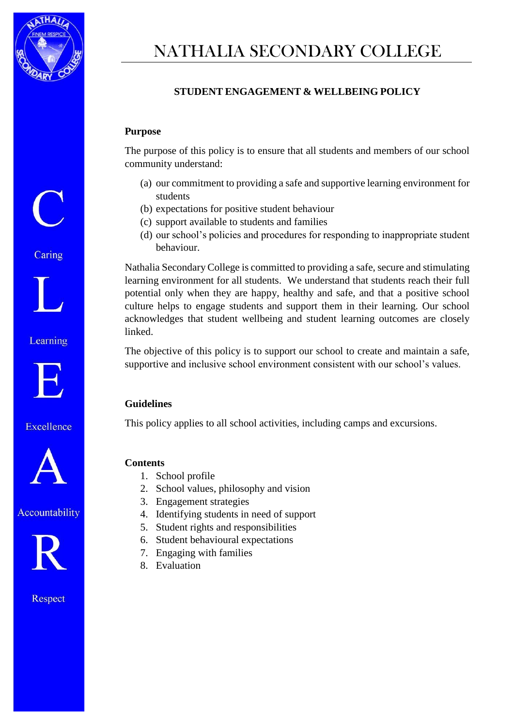

# NATHALIA SECONDARY COLLEGE

## **STUDENT ENGAGEMENT & WELLBEING POLICY**

#### **Purpose**

The purpose of this policy is to ensure that all students and members of our school community understand:

- (a) our commitment to providing a safe and supportive learning environment for students
- (b) expectations for positive student behaviour
- (c) support available to students and families
- (d) our school's policies and procedures for responding to inappropriate student behaviour.

Nathalia Secondary College is committed to providing a safe, secure and stimulating learning environment for all students. We understand that students reach their full potential only when they are happy, healthy and safe, and that a positive school culture helps to engage students and support them in their learning. Our school acknowledges that student wellbeing and student learning outcomes are closely linked.

The objective of this policy is to support our school to create and maintain a safe, supportive and inclusive school environment consistent with our school's values.

#### **Guidelines**

This policy applies to all school activities, including camps and excursions.

#### **Contents**

- 1. School profile
- 2. School values, philosophy and vision
- 3. Engagement strategies
- 4. Identifying students in need of support
- 5. Student rights and responsibilities
- 6. Student behavioural expectations
- 7. Engaging with families
- 8. Evaluation

Caring



Learning



Excellence



Accountability

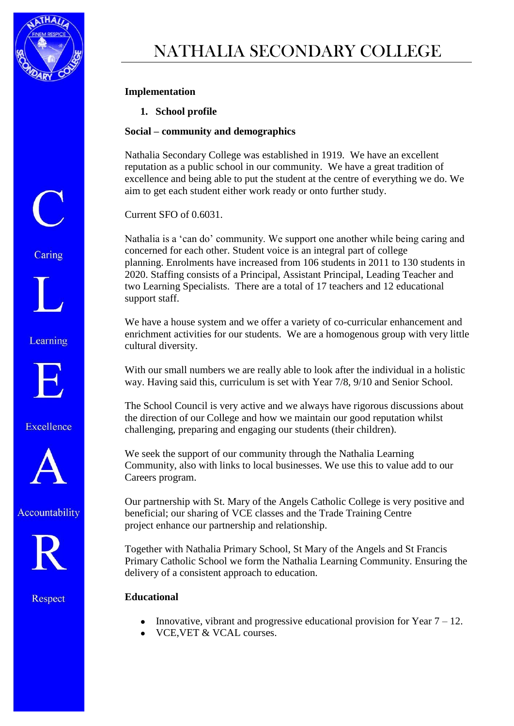

Caring

Learning

Excellence

Accountability

Respect

## **Implementation**

**1. School profile** 

### **Social – community and demographics**

Nathalia Secondary College was established in 1919. We have an excellent reputation as a public school in our community. We have a great tradition of excellence and being able to put the student at the centre of everything we do. We aim to get each student either work ready or onto further study.

Current SFO of 0.6031.

Nathalia is a 'can do' community. We support one another while being caring and concerned for each other. Student voice is an integral part of college planning. Enrolments have increased from 106 students in 2011 to 130 students in 2020. Staffing consists of a Principal, Assistant Principal, Leading Teacher and two Learning Specialists. There are a total of 17 teachers and 12 educational support staff.

We have a house system and we offer a variety of co-curricular enhancement and enrichment activities for our students. We are a homogenous group with very little cultural diversity.

With our small numbers we are really able to look after the individual in a holistic way. Having said this, curriculum is set with Year 7/8, 9/10 and Senior School.

The School Council is very active and we always have rigorous discussions about the direction of our College and how we maintain our good reputation whilst challenging, preparing and engaging our students (their children).

We seek the support of our community through the Nathalia Learning Community, also with links to local businesses. We use this to value add to our Careers program.

Our partnership with St. Mary of the Angels Catholic College is very positive and beneficial; our sharing of VCE classes and the Trade Training Centre project enhance our partnership and relationship.

Together with Nathalia Primary School, St Mary of the Angels and St Francis Primary Catholic School we form the Nathalia Learning Community. Ensuring the delivery of a consistent approach to education.

#### **Educational**

- Innovative, vibrant and progressive educational provision for Year  $7 12$ .
- VCE,VET & VCAL courses.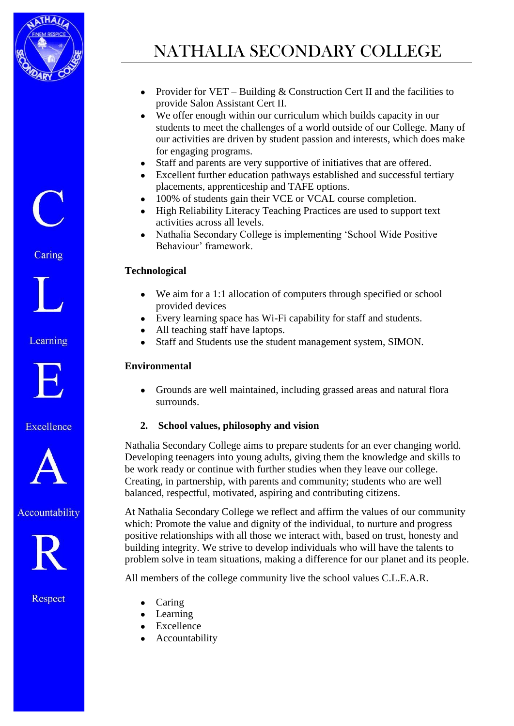



Caring



Learning



Excellence



Accountability



Respect

# NATHALIA SECONDARY COLLEGE

- Provider for VET Building  $&$  Construction Cert II and the facilities to provide Salon Assistant Cert II.
- We offer enough within our curriculum which builds capacity in our students to meet the challenges of a world outside of our College. Many of our activities are driven by student passion and interests, which does make for engaging programs.
- Staff and parents are very supportive of initiatives that are offered.
- Excellent further education pathways established and successful tertiary placements, apprenticeship and TAFE options.
- 100% of students gain their VCE or VCAL course completion.
- High Reliability Literacy Teaching Practices are used to support text activities across all levels.
- Nathalia Secondary College is implementing 'School Wide Positive Behaviour' framework.

# **Technological**

- We aim for a 1:1 allocation of computers through specified or school provided devices
- Every learning space has Wi-Fi capability for staff and students.
- All teaching staff have laptops.
- Staff and Students use the student management system, SIMON.

# **Environmental**

• Grounds are well maintained, including grassed areas and natural flora surrounds.

## **2. School values, philosophy and vision**

Nathalia Secondary College aims to prepare students for an ever changing world. Developing teenagers into young adults, giving them the knowledge and skills to be work ready or continue with further studies when they leave our college. Creating, in partnership, with parents and community; students who are well balanced, respectful, motivated, aspiring and contributing citizens.

At Nathalia Secondary College we reflect and affirm the values of our community which: Promote the value and dignity of the individual, to nurture and progress positive relationships with all those we interact with, based on trust, honesty and building integrity. We strive to develop individuals who will have the talents to problem solve in team situations, making a difference for our planet and its people.

All members of the college community live the school values C.L.E.A.R.

- Caring
- Learning
- Excellence
- Accountability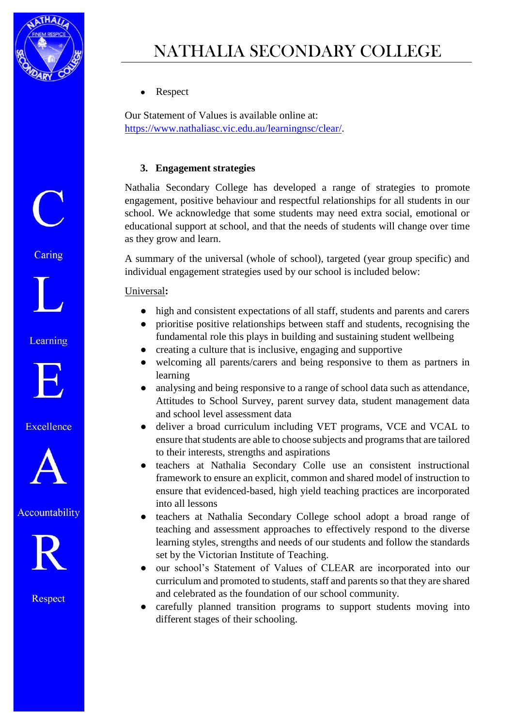

• Respect

Our Statement of Values is available online at: [https://www.nathaliasc.vic.edu.au/learningnsc/clear/.](https://www.nathaliasc.vic.edu.au/learningnsc/clear/)

### **3. Engagement strategies**

Nathalia Secondary College has developed a range of strategies to promote engagement, positive behaviour and respectful relationships for all students in our school. We acknowledge that some students may need extra social, emotional or educational support at school, and that the needs of students will change over time as they grow and learn.

A summary of the universal (whole of school), targeted (year group specific) and individual engagement strategies used by our school is included below:

#### Universal**:**

- high and consistent expectations of all staff, students and parents and carers
- prioritise positive relationships between staff and students, recognising the fundamental role this plays in building and sustaining student wellbeing
- creating a culture that is inclusive, engaging and supportive
- welcoming all parents/carers and being responsive to them as partners in learning
- analysing and being responsive to a range of school data such as attendance, Attitudes to School Survey, parent survey data, student management data and school level assessment data
- deliver a broad curriculum including VET programs, VCE and VCAL to ensure that students are able to choose subjects and programs that are tailored to their interests, strengths and aspirations
- teachers at Nathalia Secondary Colle use an consistent instructional framework to ensure an explicit, common and shared model of instruction to ensure that evidenced-based, high yield teaching practices are incorporated into all lessons
- teachers at Nathalia Secondary College school adopt a broad range of teaching and assessment approaches to effectively respond to the diverse learning styles, strengths and needs of our students and follow the standards set by the Victorian Institute of Teaching.
- our school's Statement of Values of CLEAR are incorporated into our curriculum and promoted to students, staff and parents so that they are shared and celebrated as the foundation of our school community.
- carefully planned transition programs to support students moving into different stages of their schooling.

Caring

 $\bigodot$ 

Learning



Excellence



Accountability

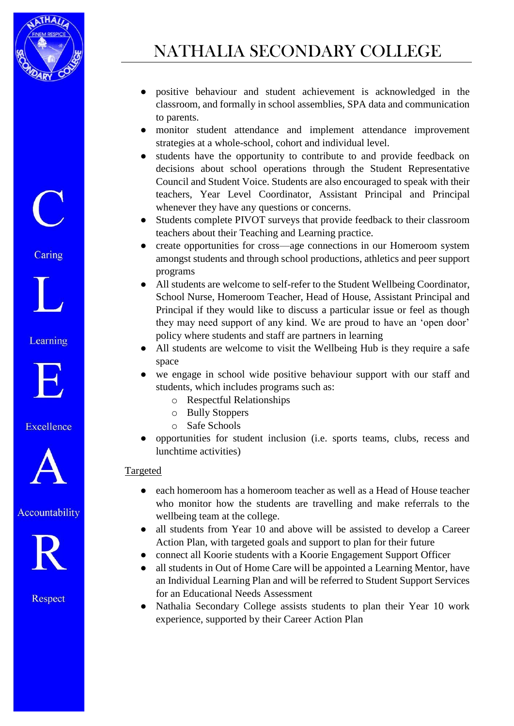



Caring



Learning



Excellence



Accountability



Respect

- positive behaviour and student achievement is acknowledged in the classroom, and formally in school assemblies, SPA data and communication to parents.
- monitor student attendance and implement attendance improvement strategies at a whole-school, cohort and individual level.
- students have the opportunity to contribute to and provide feedback on decisions about school operations through the Student Representative Council and Student Voice. Students are also encouraged to speak with their teachers, Year Level Coordinator, Assistant Principal and Principal whenever they have any questions or concerns.
- Students complete PIVOT surveys that provide feedback to their classroom teachers about their Teaching and Learning practice.
- create opportunities for cross—age connections in our Homeroom system amongst students and through school productions, athletics and peer support programs
- All students are welcome to self-refer to the Student Wellbeing Coordinator, School Nurse, Homeroom Teacher, Head of House, Assistant Principal and Principal if they would like to discuss a particular issue or feel as though they may need support of any kind. We are proud to have an 'open door' policy where students and staff are partners in learning
- All students are welcome to visit the Wellbeing Hub is they require a safe space
- we engage in school wide positive behaviour support with our staff and students, which includes programs such as:
	- o Respectful Relationships
	- o Bully Stoppers
	- o Safe Schools
- opportunities for student inclusion (i.e. sports teams, clubs, recess and lunchtime activities)

## Targeted

- each homeroom has a homeroom teacher as well as a Head of House teacher who monitor how the students are travelling and make referrals to the wellbeing team at the college.
- all students from Year 10 and above will be assisted to develop a Career Action Plan, with targeted goals and support to plan for their future
- connect all Koorie students with a Koorie Engagement Support Officer
- all students in Out of Home Care will be appointed a Learning Mentor, have an Individual Learning Plan and will be referred to Student Support Services for an Educational Needs Assessment
- Nathalia Secondary College assists students to plan their Year 10 work experience, supported by their Career Action Plan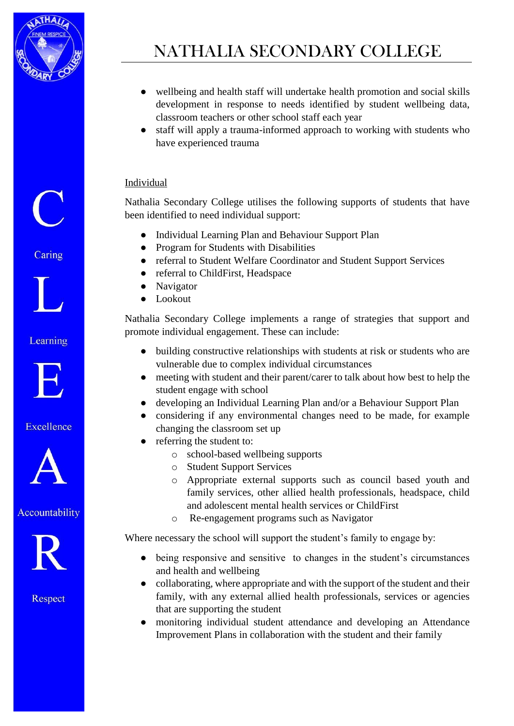

 $\overline{C}$ 

Caring

Learning

Excellence

Accountability

Respect

- wellbeing and health staff will undertake health promotion and social skills development in response to needs identified by student wellbeing data, classroom teachers or other school staff each year
- staff will apply a trauma-informed approach to working with students who have experienced trauma

### Individual

Nathalia Secondary College utilises the following supports of students that have been identified to need individual support:

- Individual Learning Plan and Behaviour Support Plan
- Program for Students with Disabilities
- referral to Student Welfare Coordinator and Student Support Services
- referral to ChildFirst, Headspace
- Navigator
- Lookout

Nathalia Secondary College implements a range of strategies that support and promote individual engagement. These can include:

- building constructive relationships with students at risk or students who are vulnerable due to complex individual circumstances
- meeting with student and their parent/carer to talk about how best to help the student engage with school
- developing an Individual Learning Plan and/or a Behaviour Support Plan
- considering if any environmental changes need to be made, for example changing the classroom set up
- referring the student to:
	- o school-based wellbeing supports
	- o Student Support Services
	- o Appropriate external supports such as council based youth and family services, other allied health professionals, headspace, child and adolescent mental health services or ChildFirst
	- o Re-engagement programs such as Navigator

Where necessary the school will support the student's family to engage by:

- being responsive and sensitive to changes in the student's circumstances and health and wellbeing
- collaborating, where appropriate and with the support of the student and their family, with any external allied health professionals, services or agencies that are supporting the student
- monitoring individual student attendance and developing an Attendance Improvement Plans in collaboration with the student and their family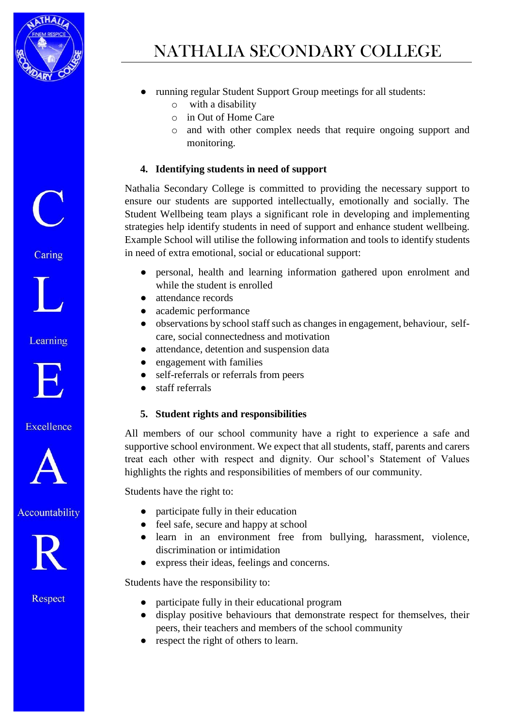

# NATHALIA SECONDARY COLLEGE

- running regular Student Support Group meetings for all students:
	- o with a disability
	- o in Out of Home Care
	- o and with other complex needs that require ongoing support and monitoring.

### **4. Identifying students in need of support**

Nathalia Secondary College is committed to providing the necessary support to ensure our students are supported intellectually, emotionally and socially. The Student Wellbeing team plays a significant role in developing and implementing strategies help identify students in need of support and enhance student wellbeing. Example School will utilise the following information and tools to identify students in need of extra emotional, social or educational support:

- personal, health and learning information gathered upon enrolment and while the student is enrolled
- attendance records
- academic performance
- observations by school staff such as changes in engagement, behaviour, selfcare, social connectedness and motivation
- attendance, detention and suspension data
- engagement with families
- self-referrals or referrals from peers
- staff referrals

#### **5. Student rights and responsibilities**

All members of our school community have a right to experience a safe and supportive school environment. We expect that all students, staff, parents and carers treat each other with respect and dignity. Our school's Statement of Values highlights the rights and responsibilities of members of our community.

Students have the right to:

- participate fully in their education
- feel safe, secure and happy at school
- learn in an environment free from bullying, harassment, violence, discrimination or intimidation
- express their ideas, feelings and concerns.

Students have the responsibility to:

- participate fully in their educational program
- display positive behaviours that demonstrate respect for themselves, their peers, their teachers and members of the school community
- respect the right of others to learn.

Caring



Learning



Excellence



Accountability

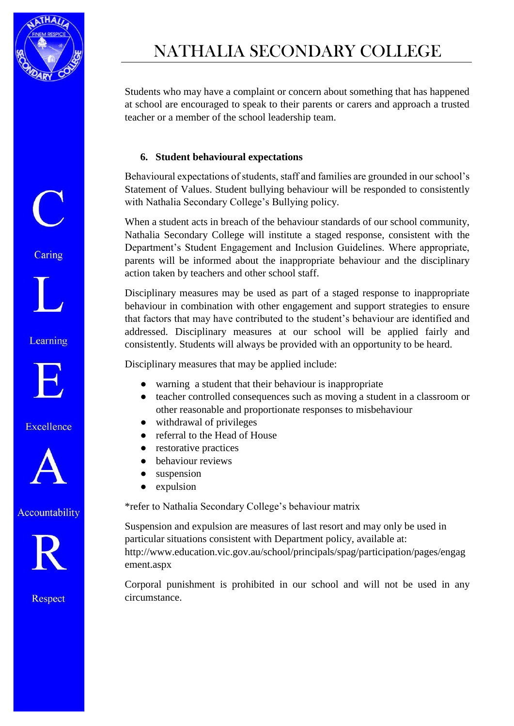

 $\bigcup$ 

Caring

Learning

Excellence

Accountability

Respect

NATHALIA SECONDARY COLLEGE

Students who may have a complaint or concern about something that has happened at school are encouraged to speak to their parents or carers and approach a trusted teacher or a member of the school leadership team.

### **6. Student behavioural expectations**

Behavioural expectations of students, staff and families are grounded in our school's Statement of Values. Student bullying behaviour will be responded to consistently with Nathalia Secondary College's Bullying policy.

When a student acts in breach of the behaviour standards of our school community, Nathalia Secondary College will institute a staged response, consistent with the Department's Student Engagement and Inclusion Guidelines. Where appropriate, parents will be informed about the inappropriate behaviour and the disciplinary action taken by teachers and other school staff.

Disciplinary measures may be used as part of a staged response to inappropriate behaviour in combination with other engagement and support strategies to ensure that factors that may have contributed to the student's behaviour are identified and addressed. Disciplinary measures at our school will be applied fairly and consistently. Students will always be provided with an opportunity to be heard.

Disciplinary measures that may be applied include:

- warning a student that their behaviour is inappropriate
- teacher controlled consequences such as moving a student in a classroom or other reasonable and proportionate responses to misbehaviour
- withdrawal of privileges
- referral to the Head of House
- restorative practices
- behaviour reviews
- suspension
- expulsion

\*refer to Nathalia Secondary College's behaviour matrix

Suspension and expulsion are measures of last resort and may only be used in particular situations consistent with Department policy, available at: http://www.education.vic.gov.au/school/principals/spag/participation/pages/engag ement.aspx

Corporal punishment is prohibited in our school and will not be used in any circumstance.